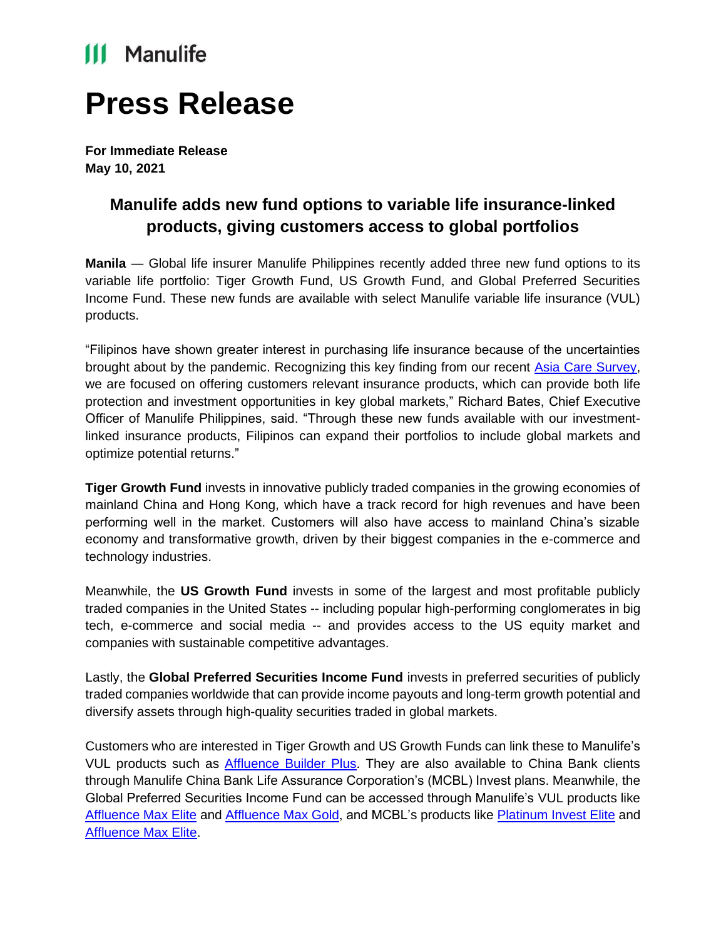## **III** Manulife

# **Press Release**

**For Immediate Release May 10, 2021**

### **Manulife adds new fund options to variable life insurance-linked products, giving customers access to global portfolios**

**Manila** — Global life insurer Manulife Philippines recently added three new fund options to its variable life portfolio: Tiger Growth Fund, US Growth Fund, and Global Preferred Securities Income Fund. These new funds are available with select Manulife variable life insurance (VUL) products.

"Filipinos have shown greater interest in purchasing life insurance because of the uncertainties brought about by the pandemic. Recognizing this key finding from our recent [Asia Care Survey,](https://www.manulife.com.ph/en/individual/about-us/newsroom/latest-news/financial-planning-amid-COVID-19.html) we are focused on offering customers relevant insurance products, which can provide both life protection and investment opportunities in key global markets," Richard Bates, Chief Executive Officer of Manulife Philippines, said. "Through these new funds available with our investmentlinked insurance products, Filipinos can expand their portfolios to include global markets and optimize potential returns."

**Tiger Growth Fund** invests in innovative publicly traded companies in the growing economies of mainland China and Hong Kong, which have a track record for high revenues and have been performing well in the market. Customers will also have access to mainland China's sizable economy and transformative growth, driven by their biggest companies in the e-commerce and technology industries.

Meanwhile, the **US Growth Fund** invests in some of the largest and most profitable publicly traded companies in the United States -- including popular high-performing conglomerates in big tech, e-commerce and social media -- and provides access to the US equity market and companies with sustainable competitive advantages.

Lastly, the **Global Preferred Securities Income Fund** invests in preferred securities of publicly traded companies worldwide that can provide income payouts and long-term growth potential and diversify assets through high-quality securities traded in global markets.

Customers who are interested in Tiger Growth and US Growth Funds can link these to Manulife's VUL products such as [Affluence Builder Plus.](https://www.manulife.com.ph/en/individual/products/investment/affluence-builder-plus.html) They are also available to China Bank clients through Manulife China Bank Life Assurance Corporation's (MCBL) Invest plans. Meanwhile, the Global Preferred Securities Income Fund can be accessed through Manulife's VUL products like [Affluence Max Elite](https://www.manulife.com.ph/en/individual/products/investment/affluence-max-elite.html) and [Affluence Max Gold,](https://www.manulife.com.ph/en/individual/products/investment/affluence-max-gold.html) and MCBL's products like [Platinum Invest Elite](https://www.manulife-chinabank.com.ph/personal-wealth) and [Affluence Max Elite.](https://www.manulife-chinabank.com.ph/affluence-max-elite)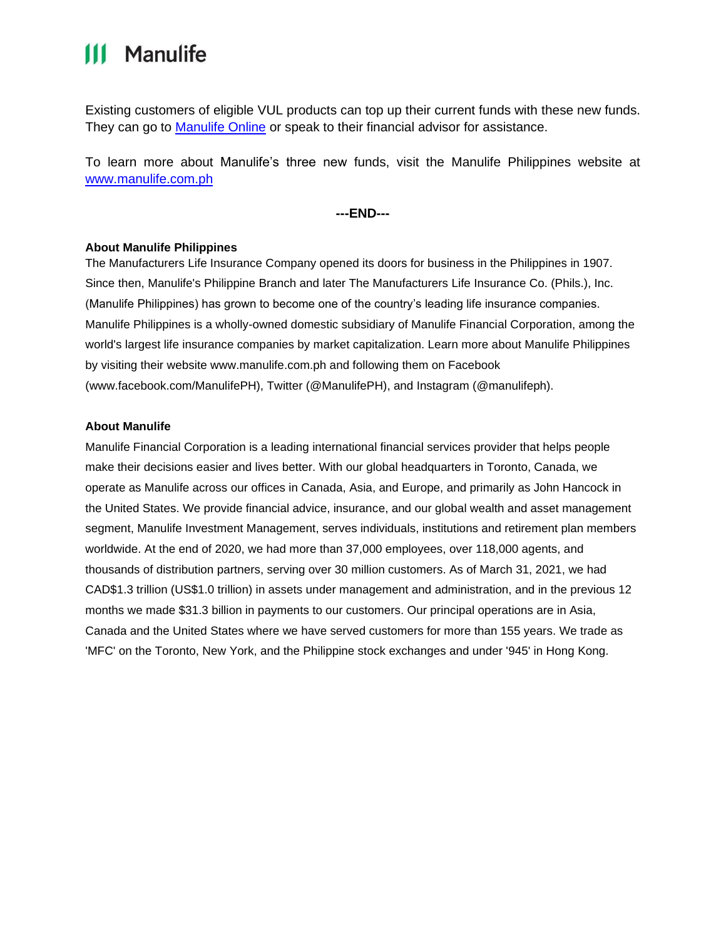### **111 Manulife**

Existing customers of eligible VUL products can top up their current funds with these new funds. They can go to [Manulife Online](https://online.manulife.com.ph/) or speak to their financial advisor for assistance.

To learn more about Manulife's three new funds, visit the Manulife Philippines website at [www.manulife.com.ph](http://www.manulife.com.ph/)

**---END---**

#### **About Manulife Philippines**

The Manufacturers Life Insurance Company opened its doors for business in the Philippines in 1907. Since then, Manulife's Philippine Branch and later The Manufacturers Life Insurance Co. (Phils.), Inc. (Manulife Philippines) has grown to become one of the country's leading life insurance companies. Manulife Philippines is a wholly-owned domestic subsidiary of Manulife Financial Corporation, among the world's largest life insurance companies by market capitalization. Learn more about Manulife Philippines by visiting their website [www.manulife.com.ph](http://www.manulife.com.ph/) and following them on Facebook [\(www.facebook.com/ManulifePH\),](http://www.facebook.com/ManulifePH)) Twitter (@ManulifePH), and Instagram (@manulifeph).

#### **About Manulife**

Manulife Financial Corporation is a leading international financial services provider that helps people make their decisions easier and lives better. With our global headquarters in Toronto, Canada, we operate as Manulife across our offices in Canada, Asia, and Europe, and primarily as John Hancock in the United States. We provide financial advice, insurance, and our global wealth and asset management segment, Manulife Investment Management, serves individuals, institutions and retirement plan members worldwide. At the end of 2020, we had more than 37,000 employees, over 118,000 agents, and thousands of distribution partners, serving over 30 million customers. As of March 31, 2021, we had CAD\$1.3 trillion (US\$1.0 trillion) in assets under management and administration, and in the previous 12 months we made \$31.3 billion in payments to our customers. Our principal operations are in Asia, Canada and the United States where we have served customers for more than 155 years. We trade as 'MFC' on the Toronto, New York, and the Philippine stock exchanges and under '945' in Hong Kong.